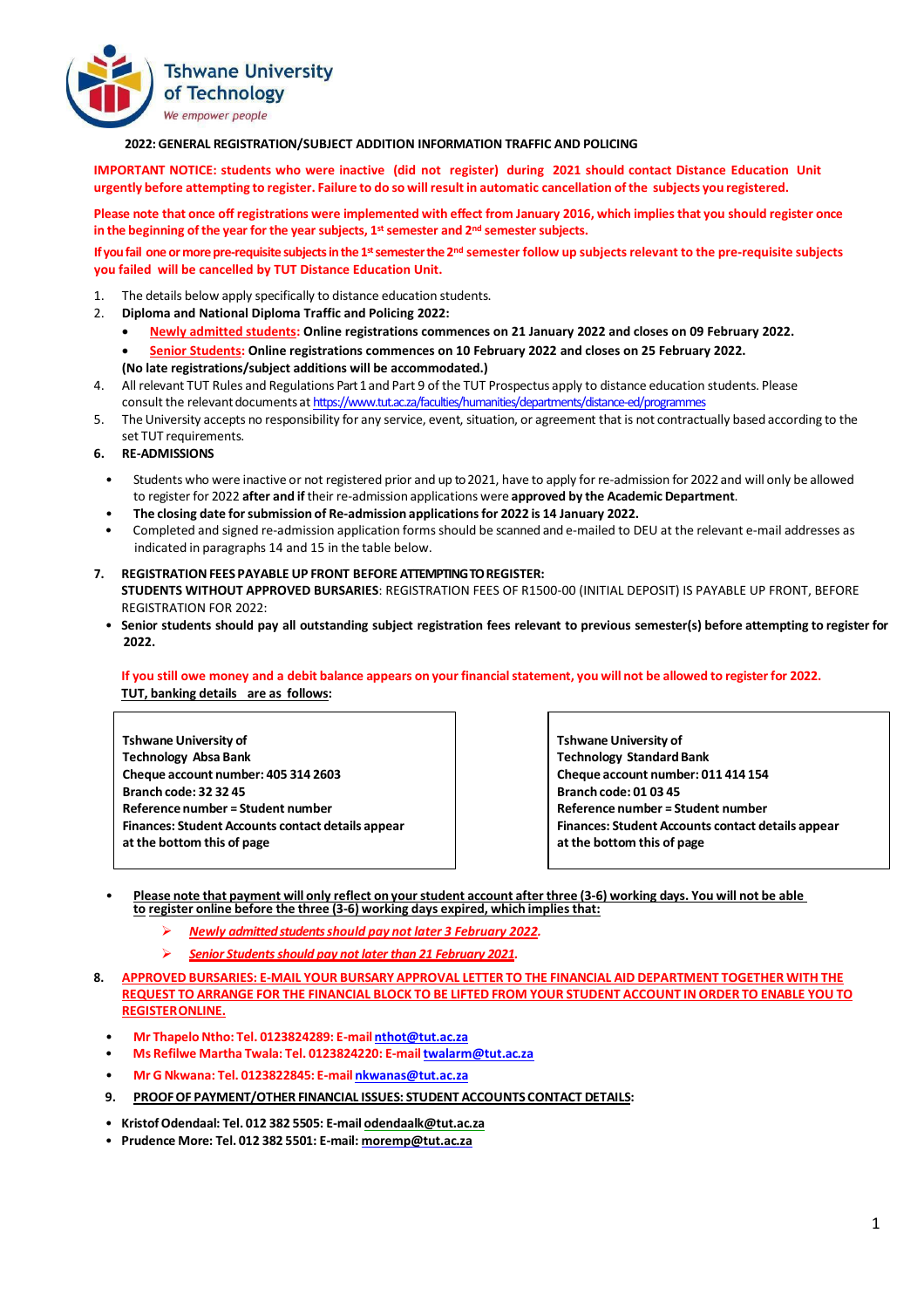

## **2022:GENERAL REGISTRATION/SUBJECT ADDITION INFORMATION TRAFFIC AND POLICING**

**IMPORTANT NOTICE: students who were inactive (did not register) during 2021 should contact Distance Education Unit** urgently before attempting to register. Failure to do so will result in automatic cancellation of the subjects you registered.

Please note that once off registrations were implemented with effect from January 2016, which implies that you should register once **in the beginning ofthe year for the year subjects, 1stsemester and 2nd semester subjects.**

If you fail one or more pre-requisite subjects in the 1<sup>st</sup> semester the 2<sup>nd</sup> semester follow up subjects relevant to the pre-requisite subjects **you failed will be cancelled by TUT Distance Education Unit.**

- The details below apply specifically to distance education students.
- 2. **Diploma and National Diploma Traffic and Policing 2022:** 
	- **Newly admitted students: Online registrations commences on 21 January 2022 and closes on 09 February 2022.**
	- **Senior Students: Online registrations commences on 10 February 2022 and closes on 25 February 2022. (No late registrations/subject additions will be accommodated.)**
- 4. All relevant TUT Rules and Regulations Part 1 and Part 9 of the TUT Prospectus apply to distance education students. Please consult the relevant documents at <https://www.tut.ac.za/faculties/humanities/departments/distance-ed/programmes>
- 5. TheUniversity accepts no responsibility for any service, event, situation, or agreement that is not contractually based according to the set TUT requirements.
- **6. RE-ADMISSIONS**
	- Students who were inactive or not registered prior and up to 2021, have to apply for re-admission for 2022 and will only be allowed to register for 2022 **after and if** their re-admission applications were **approved by the Academic Department**.
	- **The closing date forsubmission of Re-admission applicationsfor 2022 is 14 January 2022.**
	- Completed and signed re-admission application forms should be scanned and e-mailed to DEU at the relevant e-mail addresses as indicated in paragraphs 14 and 15 in the table below.
- **7. REGISTRATIONFEES PAYABLE UP FRONT BEFORE ATTEMPTING TO REGISTER: STUDENTS WITHOUT APPROVED BURSARIES**: REGISTRATION FEES OF R1500-00 (INITIAL DEPOSIT) IS PAYABLE UP FRONT, BEFORE REGISTRATION FOR 2022:
	- Senior students should pay all outstanding subject registration fees relevant to previous semester(s) before attempting to register for **2022.**

## If you still owe money and a debit balance appears on your financial statement, you will not be allowed to register for 2022. **TUT, banking details are as follows:**

**Tshwane University of Technology Absa Bank Cheque account number: 405 314 2603 Branch code: 32 32 45 Reference number = Student number Finances: Student Accounts contact details appear at the bottom this of page**

**Tshwane University of Technology Standard Bank Cheque account number: 011 414 154 Branch code: 01 03 45 Reference number = Student number Finances: Student Accounts contact details appear at the bottom this of page**

- Please note that payment will only reflect on your student account after three (3-6) working days. You will not be able **to register online before the three (3-6) working days expired, which implies that:**
	- *Newly admitted students should pay not later 3 February 2022.*
	- *Senior Students should pay not later than 21 February 2021.*
- **8. APPROVED BURSARIES: E-MAIL YOUR BURSARY APPROVAL LETTER TO THE FINANCIAL AID DEPARTMENT TOGETHER WITH THE** REQUEST TO ARRANGE FOR THE FINANCIAL BLOCK TO BE LIFTED FROM YOUR STUDENT ACCOUNT IN ORDER TO ENABLE YOU TO **REGISTERONLINE.**
	- **Mr ThapeloNtho: Tel. 0123824289: E-mail [nthot@tut.ac.za](mailto:nthot@tut.ac.za)**
	- **Ms Refilwe Martha Twala: Tel. 0123824220: E-mai[ltwalarm@tut.ac.za](mailto:twalarm@tut.ac.za)**
	- **Mr G Nkwana: Tel. 0123822845: E-mail [nkwanas@tut.ac.za](mailto:nkwanas@tut.ac.za)**
	- **9. PROOFOF PAYMENT/OTHER FINANCIAL ISSUES: STUDENT ACCOUNTS CONTACT DETAILS:**
	- **KristofOdendaal: Tel. 012 382 5505: E-mail [odendaalk@tut.ac.za](mailto:odendaalk@tut.ac.za)**
	- **Prudence More: Tel. 012 382 5501: E-mail: [moremp@tut.ac.za](mailto:moremp@tut.ac.za)**